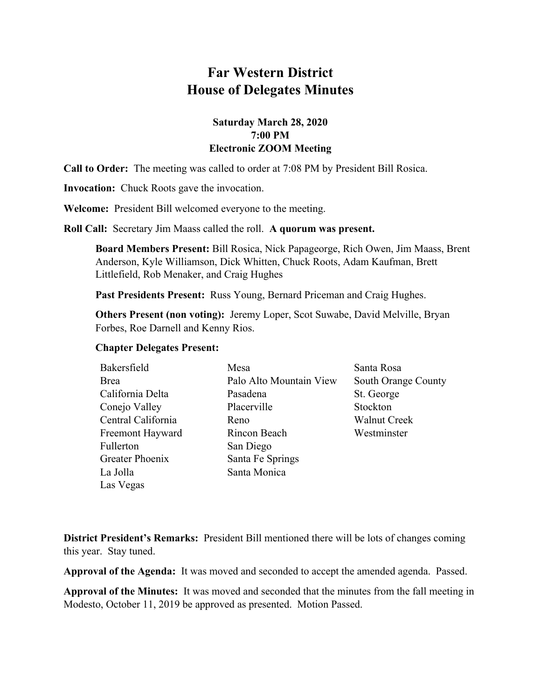# **Far Western District House of Delegates Minutes**

# **Saturday March 28, 2020 7:00 PM Electronic ZOOM Meeting**

**Call to Order:** The meeting was called to order at 7:08 PM by President Bill Rosica.

**Invocation:** Chuck Roots gave the invocation.

**Welcome:** President Bill welcomed everyone to the meeting.

**Roll Call:** Secretary Jim Maass called the roll. **A quorum was present.**

**Board Members Present:** Bill Rosica, Nick Papageorge, Rich Owen, Jim Maass, Brent Anderson, Kyle Williamson, Dick Whitten, Chuck Roots, Adam Kaufman, Brett Littlefield, Rob Menaker, and Craig Hughes

**Past Presidents Present:** Russ Young, Bernard Priceman and Craig Hughes.

**Others Present (non voting):** Jeremy Loper, Scot Suwabe, David Melville, Bryan Forbes, Roe Darnell and Kenny Rios.

#### **Chapter Delegates Present:**

| Bakersfield        | Mesa                    | Santa Rosa          |
|--------------------|-------------------------|---------------------|
| Brea               | Palo Alto Mountain View | South Orange County |
| California Delta   | Pasadena                | St. George          |
| Conejo Valley      | Placerville             | Stockton            |
| Central California | Reno                    | <b>Walnut Creek</b> |
| Freemont Hayward   | Rincon Beach            | Westminster         |
| Fullerton          | San Diego               |                     |
| Greater Phoenix    | Santa Fe Springs        |                     |
| La Jolla           | Santa Monica            |                     |
| Las Vegas          |                         |                     |

**District President's Remarks:** President Bill mentioned there will be lots of changes coming this year. Stay tuned.

**Approval of the Agenda:** It was moved and seconded to accept the amended agenda. Passed.

**Approval of the Minutes:** It was moved and seconded that the minutes from the fall meeting in Modesto, October 11, 2019 be approved as presented. Motion Passed.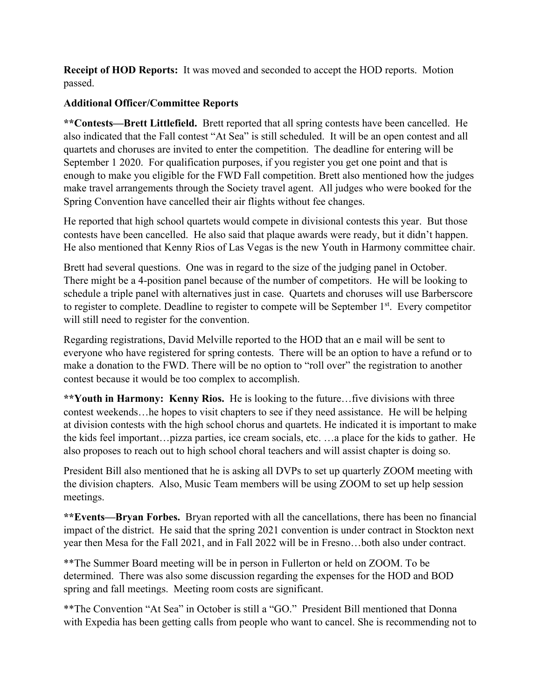**Receipt of HOD Reports:** It was moved and seconded to accept the HOD reports. Motion passed.

# **Additional Officer/Committee Reports**

**\*\*Contests—Brett Littlefield.** Brett reported that all spring contests have been cancelled. He also indicated that the Fall contest "At Sea" is still scheduled. It will be an open contest and all quartets and choruses are invited to enter the competition. The deadline for entering will be September 1 2020. For qualification purposes, if you register you get one point and that is enough to make you eligible for the FWD Fall competition. Brett also mentioned how the judges make travel arrangements through the Society travel agent. All judges who were booked for the Spring Convention have cancelled their air flights without fee changes.

He reported that high school quartets would compete in divisional contests this year. But those contests have been cancelled. He also said that plaque awards were ready, but it didn't happen. He also mentioned that Kenny Rios of Las Vegas is the new Youth in Harmony committee chair.

Brett had several questions. One was in regard to the size of the judging panel in October. There might be a 4-position panel because of the number of competitors. He will be looking to schedule a triple panel with alternatives just in case. Quartets and choruses will use Barberscore to register to complete. Deadline to register to compete will be September 1<sup>st</sup>. Every competitor will still need to register for the convention.

Regarding registrations, David Melville reported to the HOD that an e mail will be sent to everyone who have registered for spring contests. There will be an option to have a refund or to make a donation to the FWD. There will be no option to "roll over" the registration to another contest because it would be too complex to accomplish.

**\*\*Youth in Harmony: Kenny Rios.** He is looking to the future…five divisions with three contest weekends…he hopes to visit chapters to see if they need assistance. He will be helping at division contests with the high school chorus and quartets. He indicated it is important to make the kids feel important…pizza parties, ice cream socials, etc. …a place for the kids to gather. He also proposes to reach out to high school choral teachers and will assist chapter is doing so.

President Bill also mentioned that he is asking all DVPs to set up quarterly ZOOM meeting with the division chapters. Also, Music Team members will be using ZOOM to set up help session meetings.

**\*\*Events—Bryan Forbes.** Bryan reported with all the cancellations, there has been no financial impact of the district. He said that the spring 2021 convention is under contract in Stockton next year then Mesa for the Fall 2021, and in Fall 2022 will be in Fresno…both also under contract.

\*\*The Summer Board meeting will be in person in Fullerton or held on ZOOM. To be determined. There was also some discussion regarding the expenses for the HOD and BOD spring and fall meetings. Meeting room costs are significant.

\*\*The Convention "At Sea" in October is still a "GO." President Bill mentioned that Donna with Expedia has been getting calls from people who want to cancel. She is recommending not to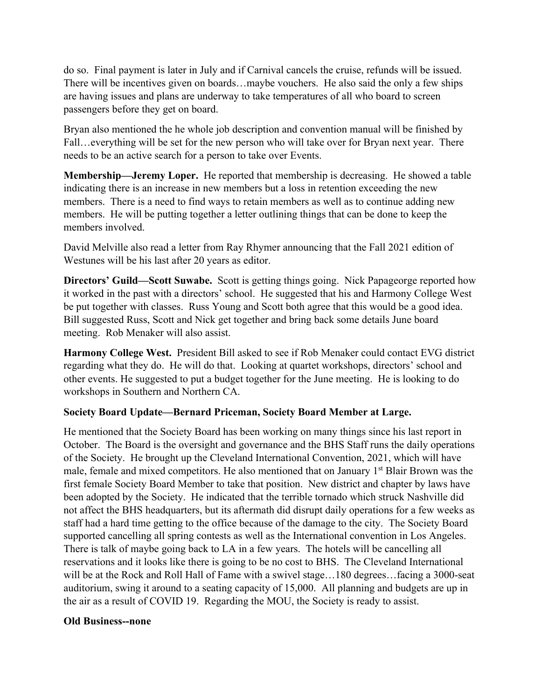do so. Final payment is later in July and if Carnival cancels the cruise, refunds will be issued. There will be incentives given on boards…maybe vouchers. He also said the only a few ships are having issues and plans are underway to take temperatures of all who board to screen passengers before they get on board.

Bryan also mentioned the he whole job description and convention manual will be finished by Fall…everything will be set for the new person who will take over for Bryan next year. There needs to be an active search for a person to take over Events.

**Membership—Jeremy Loper.** He reported that membership is decreasing. He showed a table indicating there is an increase in new members but a loss in retention exceeding the new members. There is a need to find ways to retain members as well as to continue adding new members. He will be putting together a letter outlining things that can be done to keep the members involved.

David Melville also read a letter from Ray Rhymer announcing that the Fall 2021 edition of Westunes will be his last after 20 years as editor.

**Directors' Guild—Scott Suwabe.** Scott is getting things going. Nick Papageorge reported how it worked in the past with a directors' school. He suggested that his and Harmony College West be put together with classes. Russ Young and Scott both agree that this would be a good idea. Bill suggested Russ, Scott and Nick get together and bring back some details June board meeting. Rob Menaker will also assist.

**Harmony College West.** President Bill asked to see if Rob Menaker could contact EVG district regarding what they do. He will do that. Looking at quartet workshops, directors' school and other events. He suggested to put a budget together for the June meeting. He is looking to do workshops in Southern and Northern CA.

### **Society Board Update—Bernard Priceman, Society Board Member at Large.**

He mentioned that the Society Board has been working on many things since his last report in October. The Board is the oversight and governance and the BHS Staff runs the daily operations of the Society. He brought up the Cleveland International Convention, 2021, which will have male, female and mixed competitors. He also mentioned that on January 1<sup>st</sup> Blair Brown was the first female Society Board Member to take that position. New district and chapter by laws have been adopted by the Society. He indicated that the terrible tornado which struck Nashville did not affect the BHS headquarters, but its aftermath did disrupt daily operations for a few weeks as staff had a hard time getting to the office because of the damage to the city. The Society Board supported cancelling all spring contests as well as the International convention in Los Angeles. There is talk of maybe going back to LA in a few years. The hotels will be cancelling all reservations and it looks like there is going to be no cost to BHS. The Cleveland International will be at the Rock and Roll Hall of Fame with a swivel stage...180 degrees...facing a 3000-seat auditorium, swing it around to a seating capacity of 15,000. All planning and budgets are up in the air as a result of COVID 19. Regarding the MOU, the Society is ready to assist.

#### **Old Business--none**